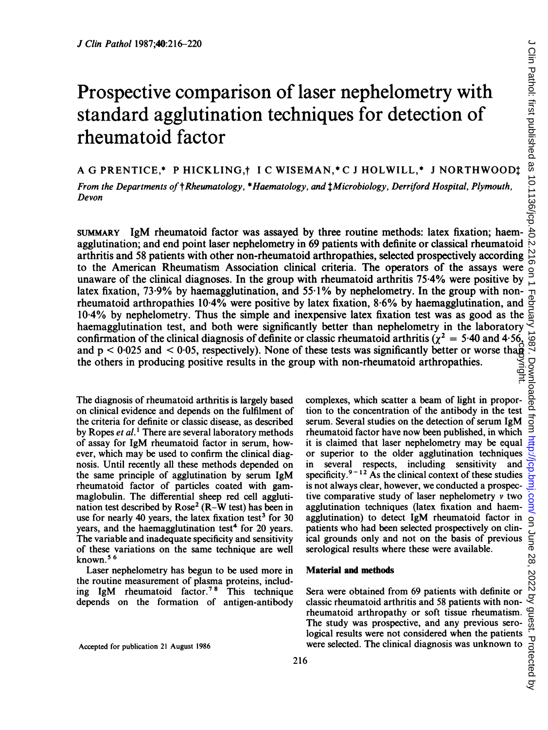# Prospective comparison of laser nephelometry with standard agglutination techniques for detection of rheumatoid factor

A G PRENTICE,\* <sup>P</sup> HICKLING,t <sup>I</sup> C WISEMAN,\* C <sup>J</sup> HOLWILL,\* <sup>J</sup> NORTHWOODt

From the Departments of  $th$ Rheumatology, \*Haematology, and  $1$ Microbiology, Derriford Hospital, Plymouth, Devon

SUMMARY IgM rheumatoid factor was assayed by three routine methods: latex fixation; haemagglutination; and end point laser nephelometry in 69 patients with definite or classical rheumatoid arthritis and 58 patients with other non-rheumatoid arthropathies, selected prospectively according to the American Rheumatism Association clinical criteria. The operators of the assays were unaware of the clinical diagnoses. In the group with rheumatoid arthritis 75-4% were positive by latex fixation, 73.9% by haemagglutination, and  $55.1\%$  by nephelometry. In the group with nonrheumatoid arthropathies 10-4% were positive by latex fixation, 8-6% by haemagglutination, and rheumatoid arthropathies 10.4% were positive by latex fixation, 8.6% by haemagglutination, and  $\frac{8}{10}$ <br>10.4% by nephelometry. Thus the simple and inexpensive latex fixation test was as good as the  $\frac{1}{10}$ <br>haemagglut haemagglutination test, and both were significantly better than nephelometry in the laboratory confirmation of the clinical diagnosis of definite or classic rheumatoid arthritis ( $\chi^2 = 5.40$  and 4.56, and  $p < 0.025$  and  $< 0.05$ , respectively). None of these tests was significantly better or worse tha $\dot{p}$ the others in producing positive results in the group with non-rheumatoid arthropathies. copyright.

The diagnosis of rheumatoid arthritis is largely based on clinical evidence and depends on the fulfilment of the criteria for definite or classic disease, as described by Ropes et al.' There are several laboratory methods of assay for IgM rheumatoid factor in serum, however, which may be used to confirm the clinical diagnosis. Until recently all these methods depended on the same principle of agglutination by serum IgM rheumatoid factor of particles coated with gammaglobulin. The differential sheep red cell agglutination test described by  $Rose<sup>2</sup>$  ( $R-W$  test) has been in use for nearly 40 years, the latex fixation test<sup>3</sup> for 30 years, and the haemagglutination test<sup>4</sup> for 20 years. The variable and inadequate specificity and sensitivity of these variations on the same technique are well known.5 <sup>6</sup>

Laser nephelometry has begun to be used more in the routine measurement of plasma proteins, including IgM rheumatoid factor.<sup>78</sup> This technique depends on the formation of antigen-antibody

Accepted for publication <sup>21</sup> August 1986

complexes, which scatter a beam of light in proportion to the concentration of the antibody in the test serum. Several studies on the detection of serum IgM rheumatoid factor have now been published, in which it is claimed that laser nephelometry may be equal or superior to the older agglutination techniques in several respects, including sensitivity and specificity. $9 - 12$  As the clinical context of these studies is not always clear, however, we conducted a prospective comparative study of laser nephelometry  $\nu$  two agglutination techniques (latex fixation and haemagglutination) to detect IgM rheumatoid factor in patients who had been selected prospectively on clinical grounds only and not on the basis of previous serological results where these were available.

# Material and methods

Sera were obtained from 69 patients with definite or classic rheumatoid arthritis and 58 patients with nonrheumatoid arthropathy or soft tissue rheumatism. The study was prospective, and any previous sero-Let were considered at this and 58 patients with non-<br>classic rheumatoid arthropathy or soft tissue rheumatism. The study was prospective, and any previous sero-<br>logical results were not considered when the patients of th were selected. The clinical diagnosis was unknown to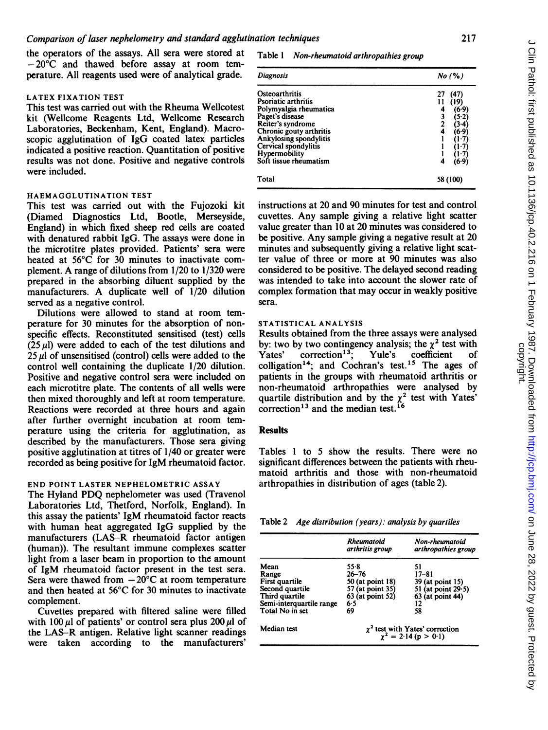the operators of the assays. All sera were stored at  $-20^{\circ}$ C and thawed before assay at room temperature. All reagents used were of analytical grade.

# LATEX FIXATION TEST

This test was carried out with the Rheuma Wellcotest kit (Wellcome Reagents Ltd, Wellcome Research Laboratories, Beckenham, Kent, England). Macroscopic agglutination of IgG coated latex particles indicated a positive reaction. Quantitation of positive results was not done. Positive and negative controls were included.

# HAEMAGGLUTINATION TEST

This test was carried out with the Fujozoki kit (Diamed Diagnostics Ltd, Bootle, Merseyside, England) in which fixed sheep red cells are coated with denatured rabbit IgG. The assays were done in the microtitre plates provided. Patients' sera were heated at 56°C for 30 minutes to inactivate complement. A range of dilutions from 1/20 to 1/320 were prepared in the absorbing diluent supplied by the manufacturers. A duplicate well of 1/20 dilution served as a negative control.

Dilutions were allowed to stand at room temperature for 30 minutes for the absorption of nonspecific effects. Reconstituted sensitised (test) cells  $(25 \mu l)$  were added to each of the test dilutions and  $25 \mu$ l of unsensitised (control) cells were added to the control well containing the duplicate 1/20 dilution. Positive and negative control sera were included on each microtitre plate. The contents of all wells were then mixed thoroughly and left at room temperature. Reactions were recorded at three hours and again after further overnight incubation at room temperature using the criteria for agglutination, as described by the manufacturers. Those sera giving positive agglutination at titres of 1/40 or greater were recorded as being positive for IgM rheumatoid factor.

# END POINT LASTER NEPHELOMETRIC ASSAY

The Hyland PDQ nephelometer was used (Travenol Laboratories Ltd, Thetford, Norfolk, England). In this assay the patients' IgM rheumatoid factor reacts with human heat aggregated IgG supplied by the manufacturers (LAS-R rheumatoid factor antigen (human)). The resultant immune complexes scatter light from a laser beam in proportion to the amount of IgM rheumatoid factor present in the test sera. Sera were thawed from  $-20^{\circ}$ C at room temperature and then heated at 56°C for 30 minutes to inactivate complement.

Cuvettes prepared with filtered saline were filled with  $100 \mu$ l of patients' or control sera plus 200  $\mu$ l of the LAS-R antigen. Relative light scanner readings were taken according to the manufacturers'

#### Table <sup>1</sup> Non-rheumatoid arthropathies group

| <b>Diagnosis</b>                                                                                                                                                                                                                | No (%)                                      |  |
|---------------------------------------------------------------------------------------------------------------------------------------------------------------------------------------------------------------------------------|---------------------------------------------|--|
| Osteoarthritis<br>Psoriatic arthritis<br>Polymyalgia rheumatica<br>Paget's disease<br>Reiter's syndrome<br>Chronic gouty arthritis<br>Ankylosing spondylitis<br>Cervical spondylitis<br>Hypermobility<br>Soft tissue rheumatism | (47<br>'19<br>(6.9)<br>5.21<br>6.9<br>(6.9) |  |
| Total                                                                                                                                                                                                                           | 58 (100)                                    |  |

instructions at 20 and 90 minutes for test and control cuvettes. Any sample giving a relative light scatter value greater than 10 at 20 minutes was considered to be positive. Any sample giving a negative result at 20 minutes and subsequently giving a relative light scatter value of three or more at 90 minutes was also considered to be positive. The delayed second reading was intended to take into account the slower rate of complex formation that may occur in weakly positive sera.

### STATISTICAL ANALYSIS

Results obtained from the three assays were analysed by: two by two contingency analysis; the  $\chi^2$  test with<br>Yates' correction<sup>13</sup>; Yule's coefficient of Yates' correction<sup>13</sup>; Yule's coefficient of colligation<sup>14</sup>; and Cochran's test.<sup>15</sup> The ages of patients in the groups with rheumatoid arthritis or non-rheumatoid arthropathies were analysed by quartile distribution and by the  $\chi^2$  test with Yates' correction<sup>13</sup> and the median test.<sup>16</sup>

#### **Results**

Tables <sup>1</sup> to 5 show the results. There were no significant differences between the patients with rheumatoid arthritis and those with non-rheumatoid arthropathies in distribution of ages (table 2).

| Table 2 | Age distribution (years): analysis by quartiles |  |  |  |
|---------|-------------------------------------------------|--|--|--|
|---------|-------------------------------------------------|--|--|--|

|                                                                                                                     | <b>Rheumatoid</b><br>arthritis group                                                       | Non-rheumatoid<br>arthropathies group                                                      |  |
|---------------------------------------------------------------------------------------------------------------------|--------------------------------------------------------------------------------------------|--------------------------------------------------------------------------------------------|--|
| Mean<br>Range<br>First quartile<br>Second quartile<br>Third quartile<br>Semi-interquartile range<br>Total No in set | 55.8<br>$26 - 76$<br>50 (at point 18)<br>57 (at point 35)<br>63 (at point 52)<br>6.5<br>69 | 51<br>17–81<br>39 (at point 15)<br>51 (at point $29.5$ )<br>$63$ (at point 44)<br>12<br>58 |  |
| Median test                                                                                                         | $\chi^2$ test with Yates' correction<br>$\chi^2 = 2.14$ (p > 0.1)                          |                                                                                            |  |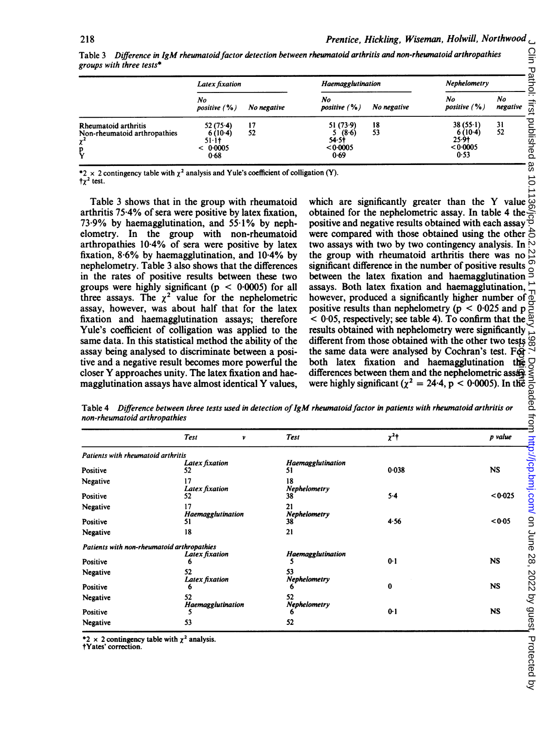|                                                                            | Latex fixation                                           |             | Haemagglutination                                           |             | Nephelometry                                       |                |
|----------------------------------------------------------------------------|----------------------------------------------------------|-------------|-------------------------------------------------------------|-------------|----------------------------------------------------|----------------|
|                                                                            | No<br>positive $( %)$                                    | No negative | No<br>positive $(% )$                                       | No negative | No<br>positive $(% )$                              | No<br>negative |
| Rheumatoid arthritis<br>Non-rheumatoid arthropathies<br>$\chi^2$<br>p<br>Y | $52(75-4)$<br>$6(10-4)$<br>$51 - 11$<br>< 0.0005<br>0.68 | 17<br>52    | 51(73.9)<br>5(8.6)<br>54.5 <sup>†</sup><br>< 0.0005<br>0.69 | 18<br>53    | 38(55.1)<br>$6(10-4)$<br>25.91<br>< 0.0005<br>0.53 | 31<br>52       |

Table 3 Difference in IgM rheumatoid factor detection between rheumatoid arthritis and non-rheumatoid arthropathies groups with three tests\*

\*2 x 2 contingency table with  $\chi^2$  analysis and Yule's coefficient of colligation (Y).  $t_{\gamma}$ <sup>2</sup> test.

Table 3 shows that in the group with rheumatoid arthritis 75-4% of sera were positive by latex fixation, 73-9% by haemagglutination, and 55-1% by nephelometry. In the group with non-rheumatoid arthropathies 10-4% of sera were positive by latex fixation,  $8.6\%$  by haemagglutination, and  $10.4\%$  by nephelometry. Table 3 also shows that the differences in the rates of positive results between these two groups were highly significant ( $p < 0.0005$ ) for all three assays. The  $\chi^2$  value for the nephelometric assay, however, was about half that for the latex fixation and haemagglutination assays; therefore Yule's coefficient of colligation was applied to the same data. In this statistical method the ability of the assay being analysed to discriminate between a positive and a negative result becomes more powerful the closer Y approaches unity. The latex fixation and haemagglutination assays have almost identical Y values,

ation (Y).<br>which are significantly greater than the Y value  $\frac{30}{10}$ <br>obtained for the nephelometric assay. In table 4 the  $\frac{30}{10}$ obtained for the nephelometric assay. In table 4 the positive and negative results obtained with each assay were compared with those obtained with the other  $\hat{\triangle}$ two assays with two by two contingency analysis. In the group with rheumatoid arthritis there was no significant difference in the number of positive results between the latex fixation and haemagglutination assays. Both latex fixation and haemagglutination, however, produced a significantly higher number of positive results than nephelometry ( $p < 0.025$  and p  $\sim$  0.05, respectively; see table 4). To confirm that the  $\frac{1}{\sqrt{2}}$ results obtained with nephelometry were significantly  $\sim$ <br>different from those obtained with the other two tests  $\sim$ <br>the same data were analysed by Cochran's test. For different from those obtained with the other two tests the same data were analysed by Cochran's test. For<br>both latex fixation and haemagglutination the<br>differences between them and the nephelometric asseting<br>were highly significant  $(x^2 - 24.4, p < 0.0005)$ . In the differences between them and the nephelometric ass $\mathbf{\hat{a}}$ were highly significant ( $\chi^2 = 24.4$ , p < 0.0005). In the

Table 4 Difference between three tests used in detection of IgM rheumatoid factor in patients with rheumatoid arthritis or non-rheumatoid arthropathies

| non-rheumatoid arthropathies               |                         | Table 4 Difference between three tests used in detection of IgM rheumatoid factor in patients with rheumatoid arthritis or | both latex fixation and haemagglutination the probabilities of differences between them and the nephelometric assets $\frac{32}{3}$<br>were highly significant ( $\chi^2 = 24.4$ , $p < 0.0005$ ). In the $\frac{32}{60}$<br>M <i>rheumatoid factor </i> |           |
|--------------------------------------------|-------------------------|----------------------------------------------------------------------------------------------------------------------------|----------------------------------------------------------------------------------------------------------------------------------------------------------------------------------------------------------------------------------------------------------|-----------|
|                                            | <b>Test</b><br>ν        | <b>Test</b>                                                                                                                |                                                                                                                                                                                                                                                          |           |
| Patients with rheumatoid arthritis         |                         |                                                                                                                            |                                                                                                                                                                                                                                                          |           |
| Positive                                   | Latex fixation<br>52    | Haemagglutination<br>51                                                                                                    |                                                                                                                                                                                                                                                          |           |
| Negative                                   | 17                      | 18                                                                                                                         |                                                                                                                                                                                                                                                          |           |
| Positive                                   | Latex fixation<br>52.   | Nephelometry<br>38                                                                                                         |                                                                                                                                                                                                                                                          |           |
| Negative                                   | 17                      | 21                                                                                                                         |                                                                                                                                                                                                                                                          |           |
| Positive                                   | Haemagglutination<br>51 | Nephelometry<br>38                                                                                                         |                                                                                                                                                                                                                                                          |           |
| Negative                                   | 18                      | 21                                                                                                                         |                                                                                                                                                                                                                                                          |           |
| Patients with non-rheumatoid arthropathies |                         |                                                                                                                            |                                                                                                                                                                                                                                                          |           |
|                                            | Latex fixation          | Haemagglutination<br>5                                                                                                     |                                                                                                                                                                                                                                                          |           |
| Positive<br>Negative                       | 6<br>52                 | 53                                                                                                                         |                                                                                                                                                                                                                                                          |           |
|                                            | Latex fixation          | Nephelometry                                                                                                               |                                                                                                                                                                                                                                                          |           |
| Positive                                   |                         |                                                                                                                            | 0                                                                                                                                                                                                                                                        | <b>NS</b> |
| Negative                                   | 52                      | 52                                                                                                                         |                                                                                                                                                                                                                                                          |           |
| Positive                                   | Haemagglutination       | Nephelometry                                                                                                               | $0-1$                                                                                                                                                                                                                                                    | <b>NS</b> |
| Negative                                   | 53                      | 52                                                                                                                         |                                                                                                                                                                                                                                                          |           |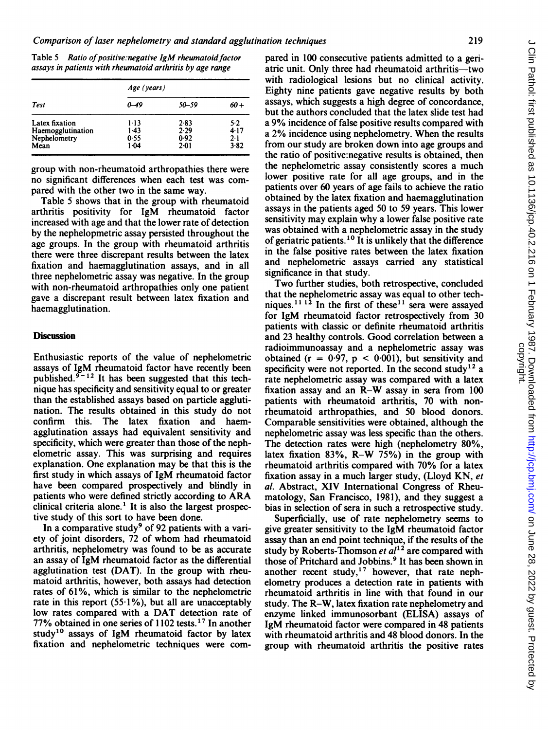Table 5 Ratio of positive: negative IgM rheumatoid factor assays in patients with rheumatoid arthritis by age range

| Test              | Age (years) |           |         |  |
|-------------------|-------------|-----------|---------|--|
|                   | 0–49        | $50 - 59$ | 60+     |  |
| Latex fixation    | $1 - 13$    | 2.83      | 5.2     |  |
| Haemogglutination | $1-43$      | 2.29      | 4 1 7   |  |
| Nephelometry      | 0.55        | 0.92      | $2 - 1$ |  |
| Mean              | 1.04        | $2-01$    | 3.82    |  |

group with non-rheumatoid arthropathies there were no significant differences when each test was compared with the other two in the same way.

Table 5 shows that in the group with rheumatoid arthritis positivity for IgM rheumatoid factor increased with age and that the lower rate of detection by the nephelopmetric assay persisted throughout the age groups. In the group with rheumatoid arthritis there were three discrepant results between the latex fixation and haemagglutination assays, and in all three nephelometric assay was negative. In the group with non-rheumatoid arthropathies only one patient gave a discrepant result between latex fixation and haemagglutination.

## **Discussion**

Enthusiastic reports of the value of nephelometric assays of IgM rheumatoid factor have recently been published. $9 - 12$  It has been suggested that this technique has specificity and sensitivity equal to or greater than the established assays based on particle agglutination. The results obtained in this study do not confirm this. The latex fixation and haemagglutination assays had equivalent sensitivity and specificity, which were greater than those of the nephelometric assay. This was surprising and requires explanation. One explanation may be that this is the first study in which assays of IgM rheumatoid factor have been compared prospectively and blindly in patients who were defined strictly according to ARA clinical criteria alone.<sup>1</sup> It is also the largest prospective study of this sort to have been done.

In a comparative study<sup>9</sup> of 92 patients with a variety of joint disorders, 72 of whom had rheumatoid arthritis, nephelometry was found to be as accurate an assay of IgM rheumatoid factor as the differential agglutination test (DAT). In the group with rheumatoid arthritis, however, both assays had detection rates of 61%, which is similar to the nephelometric rate in this report  $(55.1\%)$ , but all are unacceptably low rates compared with <sup>a</sup> DAT detection rate of 77% obtained in one series of 1102 tests.<sup>17</sup> In another study<sup>10</sup> assays of IgM rheumatoid factor by latex fixation and nephelometric techniques were compared in 100 consecutive patients admitted to a geriatric unit. Only three had rheumatoid arthritis-two with radiological lesions but no clinical activity. Eighty nine patients gave negative results by both assays, which suggests a high degree of concordance, but the authors concluded that the latex slide test had <sup>a</sup> 9% incidence of false positive results compared with <sup>a</sup> 2% incidence using nephelometry. When the results from our study are broken down into age groups and the ratio of positive:negative results is obtained, then the nephelometric assay consistently scores a much lower positive rate for all age groups, and in the patients over 60 years of age fails to achieve the ratio obtained by the latex fixation and haemagglutination assays in the patients aged 50 to 59 years. This lower sensitivity may explain why a lower false positive rate was obtained with a nephelometric assay in the study of geriatric patients.<sup>10</sup> It is unlikely that the difference in the false positive rates between the latex fixation and nephelometric assays carried any statistical significance in that study.

Two further studies, both retrospective, concluded that the nephelometric assay was equal to other techniques.<sup>11 12</sup> In the first of these<sup>11</sup> sera were assayed for IgM rheumatoid factor retrospectively from 30 patients with classic or definite rheumatoid arthritis and 23 healthy controls. Good correlation between a radioimmunoassay and a nephelometric assay was obtained ( $r = 0.97$ ,  $p < 0.001$ ), but sensitivity and specificity were not reported. In the second study<sup>12</sup> a rate nephelometric assay was compared with a latex fixation assay and an R-W assay in sera from <sup>100</sup> patients with rheumatoid arthritis, 70 with nonrheumatoid arthropathies, and 50 blood donors. Comparable sensitivities were obtained, although the nephelometric assay was less specific than the others. The detection rates were high (nephelometry 80%, latex fixation 83%, R-W 75%) in the group with rheumatoid arthritis compared with 70% for a latex fixation assay in a much larger study, (Lloyd KN, et al. Abstract, XIV International Congress of Rheumatology, San Francisco, 1981), and they suggest a bias in selection of sera in such a retrospective study.

Superficially, use of rate nephelometry seems to give greater sensitivity to the IgM rheumatoid factor assay than an end point technique, if the results of the study by Roberts-Thomson  $et al<sup>12</sup>$  are compared with those of Pritchard and Jobbins.<sup>9</sup> It has been shown in another recent study,<sup>17</sup> however, that rate nephelometry produces a detection rate in patients with rheumatoid arthritis in line with that found in our study. The R-W, latex fixation rate nephelometry and enzyme linked immunosorbant (ELISA) assays of IgM rheumatoid factor were compared in 48 patients with rheumatoid arthritis and 48 blood donors. In the group with rheumatoid arthritis the positive rates